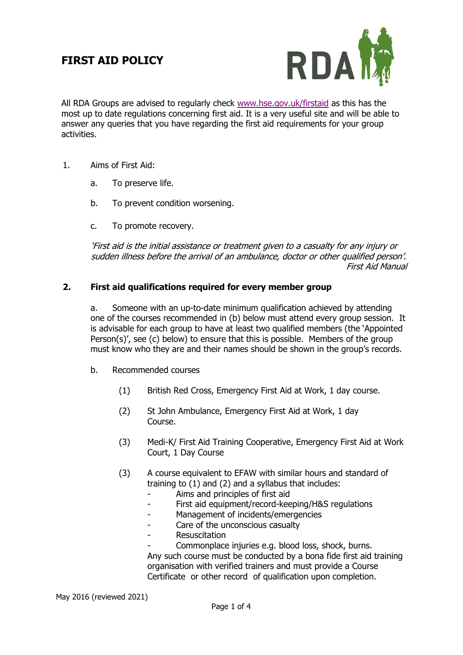# **FIRST AID POLICY**



All RDA Groups are advised to regularly check [www.hse.gov.uk/firstaid](http://www.hse.gov.uk/firstaid) as this has the most up to date regulations concerning first aid. It is a very useful site and will be able to answer any queries that you have regarding the first aid requirements for your group activities.

- 1. Aims of First Aid:
	- a. To preserve life.
	- b. To prevent condition worsening.
	- c. To promote recovery.

'First aid is the initial assistance or treatment given to a casualty for any injury or sudden illness before the arrival of an ambulance, doctor or other qualified person'. First Aid Manual

# **2. First aid qualifications required for every member group**

a. Someone with an up-to-date minimum qualification achieved by attending one of the courses recommended in (b) below must attend every group session. It is advisable for each group to have at least two qualified members (the 'Appointed Person(s)', see (c) below) to ensure that this is possible. Members of the group must know who they are and their names should be shown in the group's records.

- b. Recommended courses
	- (1) British Red Cross, Emergency First Aid at Work, 1 day course.
	- (2) St John Ambulance, Emergency First Aid at Work, 1 day Course.
	- (3) Medi-K/ First Aid Training Cooperative, Emergency First Aid at Work Court, 1 Day Course
	- (3) A course equivalent to EFAW with similar hours and standard of training to (1) and (2) and a syllabus that includes:
		- Aims and principles of first aid
		- First aid equipment/record-keeping/H&S regulations
		- Management of incidents/emergencies
		- Care of the unconscious casualty
		- Resuscitation
		- Commonplace injuries e.g. blood loss, shock, burns.

Any such course must be conducted by a bona fide first aid training organisation with verified trainers and must provide a Course Certificate or other record of qualification upon completion.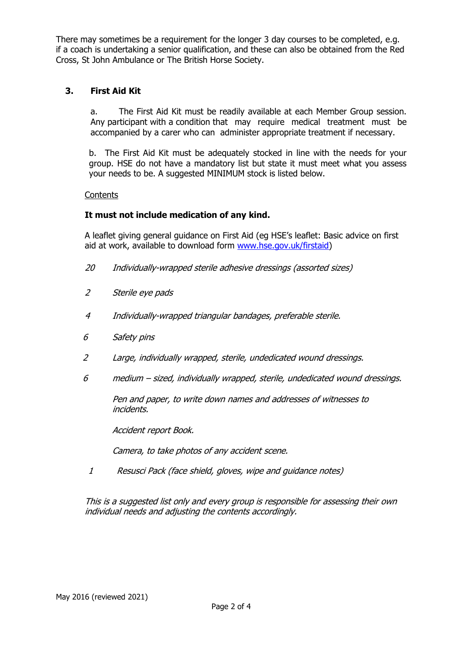There may sometimes be a requirement for the longer 3 day courses to be completed, e.g. if a coach is undertaking a senior qualification, and these can also be obtained from the Red Cross, St John Ambulance or The British Horse Society.

# **3. First Aid Kit**

a. The First Aid Kit must be readily available at each Member Group session. Any participant with a condition that may require medical treatment must be accompanied by a carer who can administer appropriate treatment if necessary.

b. The First Aid Kit must be adequately stocked in line with the needs for your group. HSE do not have a mandatory list but state it must meet what you assess your needs to be. A suggested MINIMUM stock is listed below.

#### **Contents**

## **It must not include medication of any kind.**

A leaflet giving general guidance on First Aid (eg HSE's leaflet: Basic advice on first aid at work, available to download form [www.hse.gov.uk/firstaid\)](http://www.hse.gov.uk/firstaid)

- 20 Individually-wrapped sterile adhesive dressings (assorted sizes)
- 2 Sterile eye pads
- 4 Individually-wrapped triangular bandages, preferable sterile.
- 6 Safety pins
- 2 Large, individually wrapped, sterile, undedicated wound dressings.
- 6 medium sized, individually wrapped, sterile, undedicated wound dressings.

Pen and paper, to write down names and addresses of witnesses to incidents.

Accident report Book.

Camera, to take photos of any accident scene.

1 Resusci Pack (face shield, gloves, wipe and guidance notes)

This is a suggested list only and every group is responsible for assessing their own individual needs and adjusting the contents accordingly.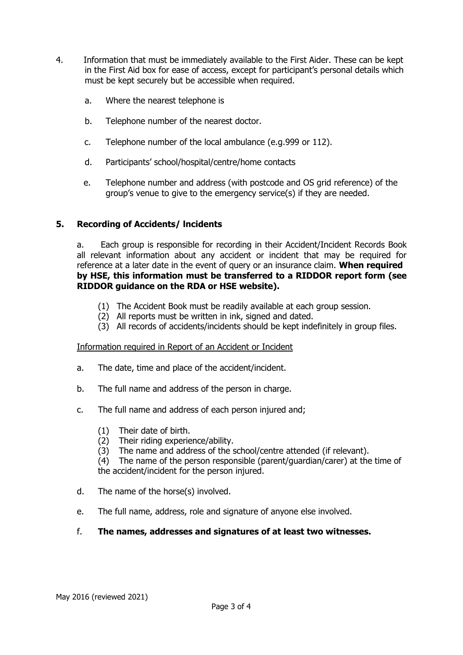- 4. Information that must be immediately available to the First Aider. These can be kept in the First Aid box for ease of access, except for participant's personal details which must be kept securely but be accessible when required.
	- a. Where the nearest telephone is
	- b. Telephone number of the nearest doctor.
	- c. Telephone number of the local ambulance (e.g.999 or 112).
	- d. Participants' school/hospital/centre/home contacts
	- e. Telephone number and address (with postcode and OS grid reference) of the group's venue to give to the emergency service(s) if they are needed.

## **5. Recording of Accidents/ lncidents**

a. Each group is responsible for recording in their Accident/Incident Records Book all relevant information about any accident or incident that may be required for reference at a later date in the event of query or an insurance claim. **When required by HSE, this information must be transferred to a RIDDOR report form (see RIDDOR guidance on the RDA or HSE website).**

- (1) The Accident Book must be readily available at each group session.
- (2) All reports must be written in ink, signed and dated.
- (3) All records of accidents/incidents should be kept indefinitely in group files.

#### Information required in Report of an Accident or Incident

- a. The date, time and place of the accident/incident.
- b. The full name and address of the person in charge.
- c. The full name and address of each person injured and;
	- (1) Their date of birth.
	- (2) Their riding experience/ability.
	- (3) The name and address of the school/centre attended (if relevant).
	- (4) The name of the person responsible (parent/guardian/carer) at the time of the accident/incident for the person injured.
- d. The name of the horse(s) involved.
- e. The full name, address, role and signature of anyone else involved.
- f. **The names, addresses and signatures of at least two witnesses.**